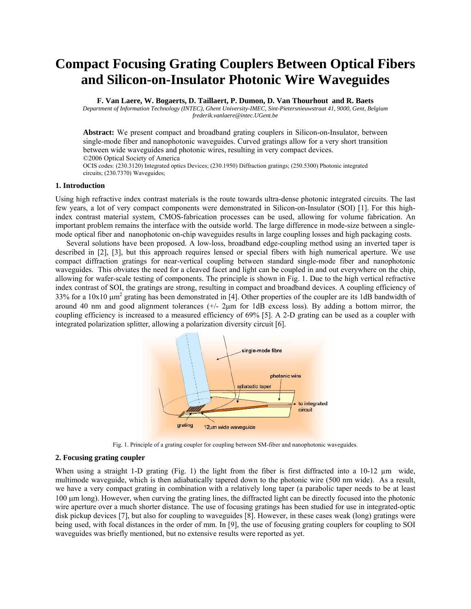# **Compact Focusing Grating Couplers Between Optical Fibers and Silicon-on-Insulator Photonic Wire Waveguides**

**F. Van Laere, W. Bogaerts, D. Taillaert, P. Dumon, D. Van Thourhout and R. Baets** 

*Department of Information Technology (INTEC), Ghent University-IMEC, Sint-Pietersnieuwstraat 41, 9000, Gent, Belgium frederik.vanlaere@intec.UGent.be* 

**Abstract:** We present compact and broadband grating couplers in Silicon-on-Insulator, between single-mode fiber and nanophotonic waveguides. Curved gratings allow for a very short transition between wide waveguides and photonic wires, resulting in very compact devices. ©2006 Optical Society of America

OCIS codes: (230.3120) Integrated optics Devices; (230.1950) Diffraction gratings; (250.5300) Photonic integrated circuits; (230.7370) Waveguides;

## **1. Introduction**

Using high refractive index contrast materials is the route towards ultra-dense photonic integrated circuits. The last few years, a lot of very compact components were demonstrated in Silicon-on-Insulator (SOI) [1]. For this highindex contrast material system, CMOS-fabrication processes can be used, allowing for volume fabrication. An important problem remains the interface with the outside world. The large difference in mode-size between a singlemode optical fiber and nanophotonic on-chip waveguides results in large coupling losses and high packaging costs.

Several solutions have been proposed. A low-loss, broadband edge-coupling method using an inverted taper is described in [2], [3], but this approach requires lensed or special fibers with high numerical aperture. We use compact diffraction gratings for near-vertical coupling between standard single-mode fiber and nanophotonic waveguides. This obviates the need for a cleaved facet and light can be coupled in and out everywhere on the chip, allowing for wafer-scale testing of components. The principle is shown in Fig. 1. Due to the high vertical refractive index contrast of SOI, the gratings are strong, resulting in compact and broadband devices. A coupling efficiency of 33% for a  $10x10 \mu m^2$  grating has been demonstrated in [4]. Other properties of the coupler are its 1dB bandwidth of around 40 nm and good alignment tolerances  $(+/2<sub>µ</sub>$  for 1dB excess loss). By adding a bottom mirror, the coupling efficiency is increased to a measured efficiency of 69% [5]. A 2-D grating can be used as a coupler with integrated polarization splitter, allowing a polarization diversity circuit [6].



Fig. 1. Principle of a grating coupler for coupling between SM-fiber and nanophotonic waveguides.

## **2. Focusing grating coupler**

When using a straight 1-D grating (Fig. 1) the light from the fiber is first diffracted into a 10-12  $\mu$ m wide, multimode waveguide, which is then adiabatically tapered down to the photonic wire (500 nm wide). As a result, we have a very compact grating in combination with a relatively long taper (a parabolic taper needs to be at least 100 µm long). However, when curving the grating lines, the diffracted light can be directly focused into the photonic wire aperture over a much shorter distance. The use of focusing gratings has been studied for use in integrated-optic disk pickup devices [7], but also for coupling to waveguides [8]. However, in these cases weak (long) gratings were being used, with focal distances in the order of mm. In [9], the use of focusing grating couplers for coupling to SOI waveguides was briefly mentioned, but no extensive results were reported as yet.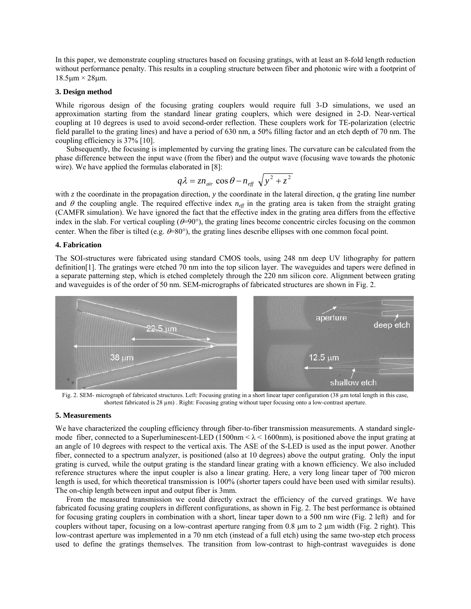In this paper, we demonstrate coupling structures based on focusing gratings, with at least an 8-fold length reduction without performance penalty. This results in a coupling structure between fiber and photonic wire with a footprint of  $18.5 \mu m \times 28 \mu m$ .

#### **3. Design method**

While rigorous design of the focusing grating couplers would require full 3-D simulations, we used an approximation starting from the standard linear grating couplers, which were designed in 2-D. Near-vertical coupling at 10 degrees is used to avoid second-order reflection. These couplers work for TE-polarization (electric field parallel to the grating lines) and have a period of 630 nm, a 50% filling factor and an etch depth of 70 nm. The coupling efficiency is 37% [10].

Subsequently, the focusing is implemented by curving the grating lines. The curvature can be calculated from the phase difference between the input wave (from the fiber) and the output wave (focusing wave towards the photonic wire). We have applied the formulas elaborated in [8]:

$$
q\lambda = zn_{air} \cos \theta - n_{eff} \sqrt{y^2 + z^2}
$$

with *z* the coordinate in the propagation direction, *y* the coordinate in the lateral direction, *q* the grating line number and  $\theta$  the coupling angle. The required effective index  $n_{\text{eff}}$  in the grating area is taken from the straight grating (CAMFR simulation). We have ignored the fact that the effective index in the grating area differs from the effective index in the slab. For vertical coupling  $(\theta=90^\circ)$ , the grating lines become concentric circles focusing on the common center. When the fiber is tilted (e.g.  $\theta = 80^{\circ}$ ), the grating lines describe ellipses with one common focal point.

## **4. Fabrication**

The SOI-structures were fabricated using standard CMOS tools, using 248 nm deep UV lithography for pattern definition[1]. The gratings were etched 70 nm into the top silicon layer. The waveguides and tapers were defined in a separate patterning step, which is etched completely through the 220 nm silicon core. Alignment between grating and waveguides is of the order of 50 nm. SEM-micrographs of fabricated structures are shown in Fig. 2.



Fig. 2. SEM- micrograph of fabricated structures. Left: Focusing grating in a short linear taper configuration (38  $\mu$ m total length in this case, shortest fabricated is 28  $\mu$ m). Right: Focusing grating without taper focusing onto a low-contrast aperture.

#### **5. Measurements**

We have characterized the coupling efficiency through fiber-to-fiber transmission measurements. A standard singlemode fiber, connected to a Superluminescent-LED (1500nm  $< \lambda < 1600$ nm), is positioned above the input grating at an angle of 10 degrees with respect to the vertical axis. The ASE of the S-LED is used as the input power. Another fiber, connected to a spectrum analyzer, is positioned (also at 10 degrees) above the output grating. Only the input grating is curved, while the output grating is the standard linear grating with a known efficiency. We also included reference structures where the input coupler is also a linear grating. Here, a very long linear taper of 700 micron length is used, for which theoretical transmission is 100% (shorter tapers could have been used with similar results). The on-chip length between input and output fiber is 3mm.

From the measured transmission we could directly extract the efficiency of the curved gratings. We have fabricated focusing grating couplers in different configurations, as shown in Fig. 2. The best performance is obtained for focusing grating couplers in combination with a short, linear taper down to a 500 nm wire (Fig. 2 left) and for couplers without taper, focusing on a low-contrast aperture ranging from 0.8  $\mu$ m to 2  $\mu$ m width (Fig. 2 right). This low-contrast aperture was implemented in a 70 nm etch (instead of a full etch) using the same two-step etch process used to define the gratings themselves. The transition from low-contrast to high-contrast waveguides is done